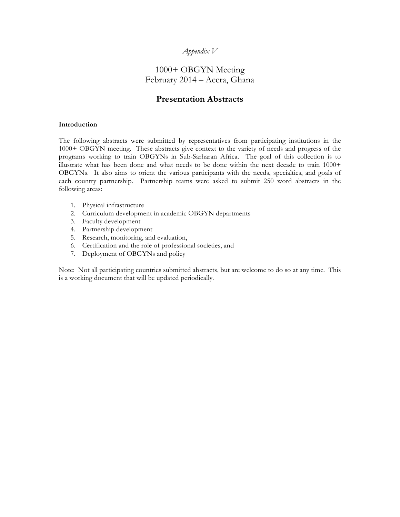## *Appendix V*

# 1000+ OBGYN Meeting February 2014 – Accra, Ghana

# **Presentation Abstracts**

### **Introduction**

The following abstracts were submitted by representatives from participating institutions in the 1000+ OBGYN meeting. These abstracts give context to the variety of needs and progress of the programs working to train OBGYNs in Sub-Sarharan Africa. The goal of this collection is to illustrate what has been done and what needs to be done within the next decade to train 1000+ OBGYNs. It also aims to orient the various participants with the needs, specialties, and goals of each country partnership. Partnership teams were asked to submit 250 word abstracts in the following areas:

- 1. Physical infrastructure
- 2. Curriculum development in academic OBGYN departments
- 3. Faculty development
- 4. Partnership development
- 5. Research, monitoring, and evaluation,
- 6. Certification and the role of professional societies, and
- 7. Deployment of OBGYNs and policy

Note: Not all participating countries submitted abstracts, but are welcome to do so at any time. This is a working document that will be updated periodically.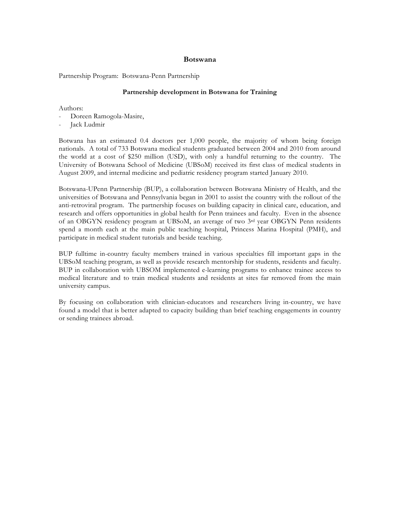### **Botswana**

Partnership Program: Botswana-Penn Partnership

### **Partnership development in Botswana for Training**

Authors:

- Doreen Ramogola-Masire,
- Jack Ludmir

Botwana has an estimated 0.4 doctors per 1,000 people, the majority of whom being foreign nationals. A total of 733 Botswana medical students graduated between 2004 and 2010 from around the world at a cost of \$250 million (USD), with only a handful returning to the country. The University of Botswana School of Medicine (UBSoM) received its first class of medical students in August 2009, and internal medicine and pediatric residency program started January 2010.

Botswana-UPenn Partnership (BUP), a collaboration between Botswana Ministry of Health, and the universities of Botswana and Pennsylvania began in 2001 to assist the country with the rollout of the anti-retroviral program. The partnership focuses on building capacity in clinical care, education, and research and offers opportunities in global health for Penn trainees and faculty. Even in the absence of an OBGYN residency program at UBSoM, an average of two 3rd year OBGYN Penn residents spend a month each at the main public teaching hospital, Princess Marina Hospital (PMH), and participate in medical student tutorials and beside teaching.

BUP fulltime in-country faculty members trained in various specialties fill important gaps in the UBSoM teaching program, as well as provide research mentorship for students, residents and faculty. BUP in collaboration with UBSOM implemented e-learning programs to enhance trainee access to medical literature and to train medical students and residents at sites far removed from the main university campus.

By focusing on collaboration with clinician-educators and researchers living in-country, we have found a model that is better adapted to capacity building than brief teaching engagements in country or sending trainees abroad.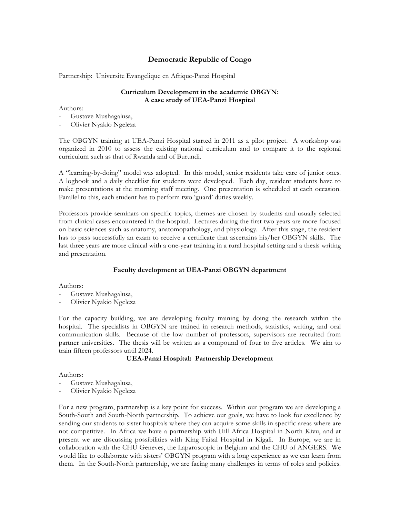# **Democratic Republic of Congo**

Partnership: Universite Evangelique en Afrique-Panzi Hospital

### **Curriculum Development in the academic OBGYN: A case study of UEA-Panzi Hospital**

Authors:

- Gustave Mushagalusa,
- Olivier Nyakio Ngeleza

The OBGYN training at UEA-Panzi Hospital started in 2011 as a pilot project. A workshop was organized in 2010 to assess the existing national curriculum and to compare it to the regional curriculum such as that of Rwanda and of Burundi.

A "learning-by-doing" model was adopted. In this model, senior residents take care of junior ones. A logbook and a daily checklist for students were developed. Each day, resident students have to make presentations at the morning staff meeting. One presentation is scheduled at each occasion. Parallel to this, each student has to perform two 'guard' duties weekly.

Professors provide seminars on specific topics, themes are chosen by students and usually selected from clinical cases encountered in the hospital. Lectures during the first two years are more focused on basic sciences such as anatomy, anatomopathology, and physiology. After this stage, the resident has to pass successfully an exam to receive a certificate that ascertains his/her OBGYN skills. The last three years are more clinical with a one-year training in a rural hospital setting and a thesis writing and presentation.

### **Faculty development at UEA-Panzi OBGYN department**

Authors:

- Gustave Mushagalusa,
- Olivier Nyakio Ngeleza

For the capacity building, we are developing faculty training by doing the research within the hospital. The specialists in OBGYN are trained in research methods, statistics, writing, and oral communication skills. Because of the low number of professors, supervisors are recruited from partner universities. The thesis will be written as a compound of four to five articles. We aim to train fifteen professors until 2024.

### **UEA-Panzi Hospital: Partnership Development**

Authors:

- Gustave Mushagalusa,
- Olivier Nyakio Ngeleza

For a new program, partnership is a key point for success. Within our program we are developing a South-South and South-North partnership. To achieve our goals, we have to look for excellence by sending our students to sister hospitals where they can acquire some skills in specific areas where are not competitive. In Africa we have a partnership with Hill Africa Hospital in North Kivu, and at present we are discussing possibilities with King Faisal Hospital in Kigali. In Europe, we are in collaboration with the CHU Geneves, the Laparoscopic in Belgium and the CHU of ANGERS. We would like to collaborate with sisters' OBGYN program with a long experience as we can learn from them. In the South-North partnership, we are facing many challenges in terms of roles and policies.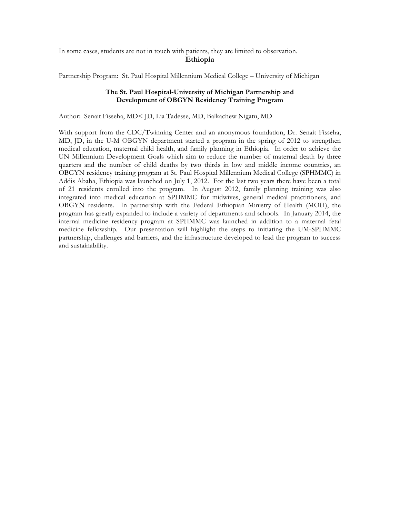In some cases, students are not in touch with patients, they are limited to observation. **Ethiopia**

Partnership Program: St. Paul Hospital Millennium Medical College – University of Michigan

### **The St. Paul Hospital-University of Michigan Partnership and Development of OBGYN Residency Training Program**

Author: Senait Fisseha, MD< JD, Lia Tadesse, MD, Balkachew Nigatu, MD

With support from the CDC/Twinning Center and an anonymous foundation, Dr. Senait Fisseha, MD, JD, in the U-M OBGYN department started a program in the spring of 2012 to strengthen medical education, maternal child health, and family planning in Ethiopia. In order to achieve the UN Millennium Development Goals which aim to reduce the number of maternal death by three quarters and the number of child deaths by two thirds in low and middle income countries, an OBGYN residency training program at St. Paul Hospital Millennium Medical College (SPHMMC) in Addis Ababa, Ethiopia was launched on July 1, 2012. For the last two years there have been a total of 21 residents enrolled into the program. In August 2012, family planning training was also integrated into medical education at SPHMMC for midwives, general medical practitioners, and OBGYN residents. In partnership with the Federal Ethiopian Ministry of Health (MOH), the program has greatly expanded to include a variety of departments and schools. In January 2014, the internal medicine residency program at SPHMMC was launched in addition to a maternal fetal medicine fellowship. Our presentation will highlight the steps to initiating the UM-SPHMMC partnership, challenges and barriers, and the infrastructure developed to lead the program to success and sustainability.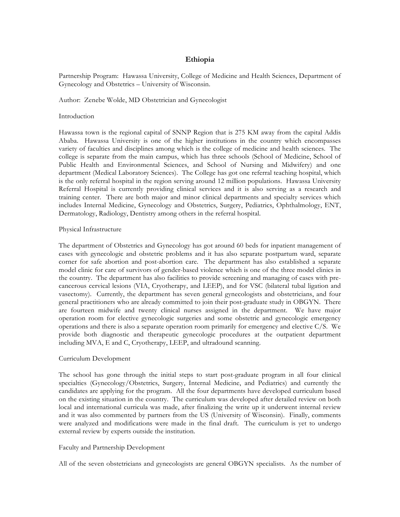## **Ethiopia**

Partnership Program: Hawassa University, College of Medicine and Health Sciences, Department of Gynecology and Obstetrics – University of Wisconsin.

Author: Zenebe Wolde, MD Obstetrician and Gynecologist

#### Introduction

Hawassa town is the regional capital of SNNP Region that is 275 KM away from the capital Addis Ababa. Hawassa University is one of the higher institutions in the country which encompasses variety of faculties and disciplines among which is the college of medicine and health sciences. The college is separate from the main campus, which has three schools (School of Medicine, School of Public Health and Environmental Sciences, and School of Nursing and Midwifery) and one department (Medical Laboratory Sciences). The College has got one referral teaching hospital, which is the only referral hospital in the region serving around 12 million populations. Hawassa University Referral Hospital is currently providing clinical services and it is also serving as a research and training center. There are both major and minor clinical departments and specialty services which includes Internal Medicine, Gynecology and Obstetrics, Surgery, Pediatrics, Ophthalmology, ENT, Dermatology, Radiology, Dentistry among others in the referral hospital.

#### Physical Infrastructure

The department of Obstetrics and Gynecology has got around 60 beds for inpatient management of cases with gynecologic and obstetric problems and it has also separate postpartum ward, separate corner for safe abortion and post-abortion care. The department has also established a separate model clinic for care of survivors of gender-based violence which is one of the three model clinics in the country. The department has also facilities to provide screening and managing of cases with precancerous cervical lesions (VIA, Cryotherapy, and LEEP), and for VSC (bilateral tubal ligation and vasectomy). Currently, the department has seven general gynecologists and obstetricians, and four general practitioners who are already committed to join their post-graduate study in OBGYN. There are fourteen midwife and twenty clinical nurses assigned in the department. We have major operation room for elective gynecologic surgeries and some obstetric and gynecologic emergency operations and there is also a separate operation room primarily for emergency and elective  $C/S$ . We provide both diagnostic and therapeutic gynecologic procedures at the outpatient department including MVA, E and C, Cryotherapy, LEEP, and ultradound scanning.

#### Curriculum Development

The school has gone through the initial steps to start post-graduate program in all four clinical specialties (Gynecology/Obstetrics, Surgery, Internal Medicine, and Pediatrics) and currently the candidates are applying for the program. All the four departments have developed curriculum based on the existing situation in the country. The curriculum was developed after detailed review on both local and international curricula was made, after finalizing the write up it underwent internal review and it was also commented by partners from the US (University of Wisconsin). Finally, comments were analyzed and modifications were made in the final draft. The curriculum is yet to undergo external review by experts outside the institution.

### Faculty and Partnership Development

All of the seven obstetricians and gynecologists are general OBGYN specialists. As the number of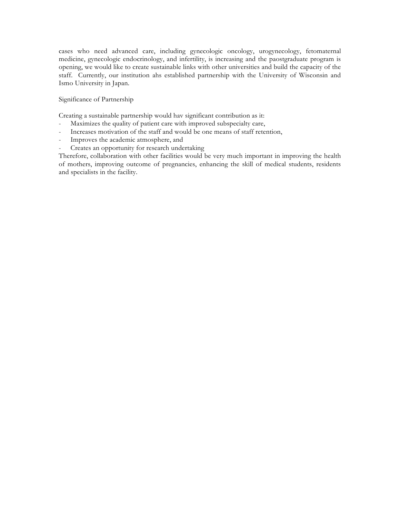cases who need advanced care, including gynecologic oncology, urogynecology, fetomaternal medicine, gynecologic endocrinology, and infertility, is increasing and the paostgraduate program is opening, we would like to create sustainable links with other universities and build the capacity of the staff. Currently, our institution ahs established partnership with the University of Wisconsin and Ismo University in Japan.

Significance of Partnership

Creating a sustainable partnership would hav significant contribution as it:

- Maximizes the quality of patient care with improved subspecialty care,
- Increases motivation of the staff and would be one means of staff retention,
- Improves the academic atmosphere, and
- Creates an opportunity for research undertaking

Therefore, collaboration with other facilities would be very much important in improving the health of mothers, improving outcome of pregnancies, enhancing the skill of medical students, residents and specialists in the facility.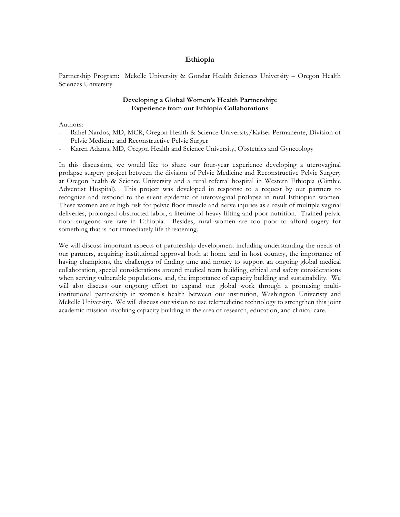## **Ethiopia**

Partnership Program: Mekelle University & Gondar Health Sciences University – Oregon Health Sciences University

### **Developing a Global Women's Health Partnership: Experience from our Ethiopia Collaborations**

Authors:

- Rahel Nardos, MD, MCR, Oregon Health & Science University/Kaiser Permanente, Division of Pelvic Medicine and Reconstructive Pelvic Surger
- Karen Adams, MD, Oregon Health and Science University, Obstetrics and Gynecology

In this discussion, we would like to share our four-year experience developing a uterovaginal prolapse surgery project between the division of Pelvic Medicine and Reconstructive Pelvic Surgery at Oregon health & Science University and a rural referral hospital in Western Ethiopia (Gimbie Adventist Hospital). This project was developed in response to a request by our partners to recognize and respond to the silent epidemic of uterovaginal prolapse in rural Ethiopian women. These women are at high risk for pelvic floor muscle and nerve injuries as a result of multiple vaginal deliveries, prolonged obstructed labor, a lifetime of heavy lifting and poor nutrition. Trained pelvic floor surgeons are rare in Ethiopia. Besides, rural women are too poor to afford sugery for something that is not immediately life threatening.

We will discuss important aspects of partnership development including understanding the needs of our partners, acquiring institutional approval both at home and in host country, the importance of having champions, the challenges of finding time and money to support an ongoing global medical collaboration, special considerations around medical team building, ethical and safety considerations when serving vulnerable populations, and, the importance of capacity building and sustainability. We will also discuss our ongoing effort to expand our global work through a promising multiinstitutional partnership in women's health between our institution, Washington Univeristy and Mekelle University. We will discuss our vision to use telemedicine technology to strengthen this joint academic mission involving capacity building in the area of research, education, and clinical care.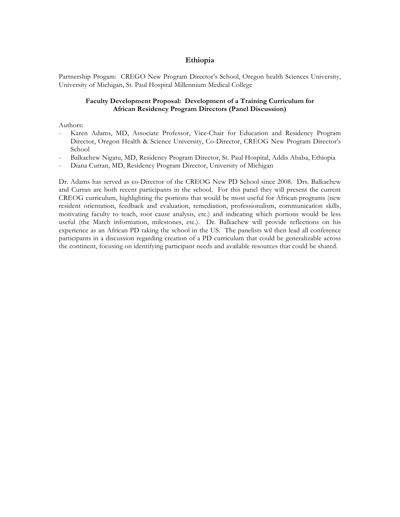### **Ethiopia**

Partnership Progam: CREGO New Program Director's School, Oregon health Sciences University, University of Michigan, St. Paul Hospital Millennium Medical College

### **Faculty Development Proposal: Development of a Training Curriculum for African Residency Program Directors (Panel Discussion)**

Authors:

- Karen Adams, MD, Associate Professor, Vice-Chair for Education and Residency Program Director, Oregon Health & Science University, Co-Director, CREOG New Program Director's School
- Balkachew Nigatu, MD, Residency Program Director, St. Paul Hospital, Addis Ababa, Ethiopia
- Diana Curran, MD, Residency Program Director, University of Michigan

Dr. Adams has served as co-Director of the CREOG New PD School since 2008. Drs. Balkachew and Curran are both recent participants in the school. For this panel they will present the current CREOG curriculum, highlighting the portions that would be most useful for African programs (new resident orientation, feedback and evaluation, remediation, professionalism, communication skills, motivating faculty to teach, root cause analysis, etc.) and indicating which portions would be less useful (the Match information, milestones, etc.). Dr. Balkachew will provide reflections on his experience as an African PD taking the school in the US. The panelists wil then lead all conference participants in a discussion regarding creation of a PD curriculum that could be generalizable across the continent, focusing on identifying participant needs and available resources that could be shared.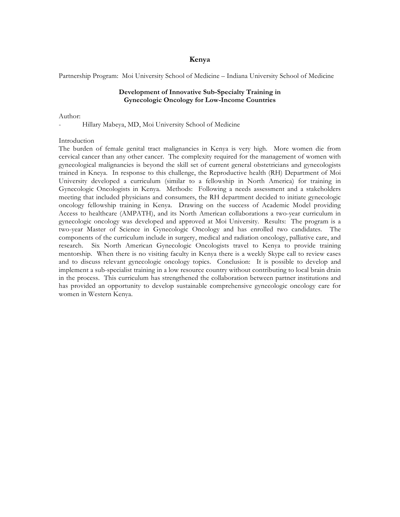### **Kenya**

Partnership Program: Moi University School of Medicine – Indiana University School of Medicine

### **Development of Innovative Sub-Specialty Training in Gynecologic Oncology for Low-Income Countries**

#### Author:

- Hillary Mabeya, MD, Moi University School of Medicine

#### Introduction

The burden of female genital tract malignancies in Kenya is very high. More women die from cervical cancer than any other cancer. The complexity required for the management of women with gynecological malignancies is beyond the skill set of current general obstetricians and gynecologists trained in Kneya. In response to this challenge, the Reproductive health (RH) Department of Moi University developed a curriculum (similar to a fellowship in North America) for training in Gynecologic Oncologists in Kenya. Methods: Following a needs assessment and a stakeholders meeting that included physicians and consumers, the RH department decided to initiate gynecologic oncology fellowship training in Kenya. Drawing on the success of Academic Model providing Access to healthcare (AMPATH), and its North American collaborations a two-year curriculum in gynecologic oncology was developed and approved at Moi University. Results: The program is a two-year Master of Science in Gynecologic Oncology and has enrolled two candidates. The components of the curriculum include in surgery, medical and radiation oncology, palliative care, and research. Six North American Gynecologic Oncologists travel to Kenya to provide training mentorship. When there is no visiting faculty in Kenya there is a weekly Skype call to review cases and to discuss relevant gynecologic oncology topics. Conclusion: It is possible to develop and implement a sub-specialist training in a low resource country without contributing to local brain drain in the process. This curriculum has strengthened the collaboration between partner institutions and has provided an opportunity to develop sustainable comprehensive gynecologic oncology care for women in Western Kenya.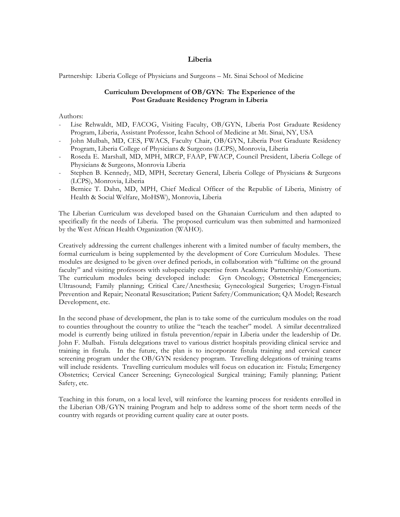## **Liberia**

Partnership: Liberia College of Physicians and Surgeons – Mt. Sinai School of Medicine

### **Curriculum Development of OB/GYN: The Experience of the Post Graduate Residency Program in Liberia**

Authors:

- Lise Rehwaldt, MD, FACOG, Visiting Faculty, OB/GYN, Liberia Post Graduate Residency Program, Liberia, Assistant Professor, Icahn School of Medicine at Mt. Sinai, NY, USA
- John Mulbah, MD, CES, FWACS, Faculty Chair, OB/GYN, Liberia Post Graduate Residency Program, Liberia College of Physicians & Surgeons (LCPS), Monrovia, Liberia
- Roseda E. Marshall, MD, MPH, MRCP, FAAP, FWACP, Council President, Liberia College of Physicians & Surgeons, Monrovia Liberia
- Stephen B. Kennedy, MD, MPH, Secretary General, Liberia College of Physicians & Surgeons (LCPS), Monrovia, Liberia
- Bernice T. Dahn, MD, MPH, Chief Medical Officer of the Republic of Liberia, Ministry of Health & Social Welfare, MoHSW), Monrovia, Liberia

The Liberian Curriculum was developed based on the Ghanaian Curriculum and then adapted to specifically fit the needs of Liberia. The proposed curriculum was then submitted and harmonized by the West African Health Organization (WAHO).

Creatively addressing the current challenges inherent with a limited number of faculty members, the formal curriculum is being supplemented by the development of Core Curriculum Modules. These modules are designed to be given over defined periods, in collaboration with "fulltime on the ground faculty" and visiting professors with subspecialty expertise from Academic Partnership/Consortium. The curriculum modules being developed include: Gyn Oncology; Obstetrical Emergencies; Ultrasound; Family planning; Critical Care/Anesthesia; Gynecological Surgeries; Urogyn-Fistual Prevention and Repair; Neonatal Resuscitation; Patient Safety/Communication; QA Model; Research Development, etc.

In the second phase of development, the plan is to take some of the curriculum modules on the road to counties throughout the country to utilize the "teach the teacher" model. A similar decentralized model is currently being utilized in fistula prevention/repair in Liberia under the leadership of Dr. John F. Mulbah. Fistula delegations travel to various district hospitals providing clinical service and training in fistula. In the future, the plan is to incorporate fistula training and cervical cancer screening program under the OB/GYN residency program. Travelling delegations of training teams will include residents. Travelling curriculum modules will focus on education in: Fistula; Emergency Obstetrics; Cervical Cancer Screening; Gynecological Surgical training; Family planning; Patient Safety, etc.

Teaching in this forum, on a local level, will reinforce the learning process for residents enrolled in the Liberian OB/GYN training Program and help to address some of the short term needs of the country with regards ot providing current quality care at outer posts.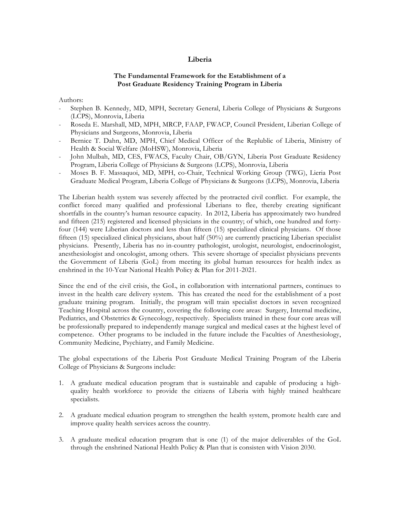## **Liberia**

### **The Fundamental Framework for the Establishment of a Post Graduate Residency Training Program in Liberia**

Authors:

- Stephen B. Kennedy, MD, MPH, Secretary General, Liberia College of Physicians & Surgeons (LCPS), Monrovia, Liberia
- Roseda E. Marshall, MD, MPH, MRCP, FAAP, FWACP, Council President, Liberian College of Physicians and Surgeons, Monrovia, Liberia
- Bernice T. Dahn, MD, MPH, Chief Medical Officer of the Replublic of Liberia, Ministry of Health & Social Welfare (MoHSW), Monrovia, Liberia
- John Mulbah, MD, CES, FWACS, Faculty Chair, OB/GYN, Liberia Post Graduate Residency Program, Liberia College of Physicians & Surgeons (LCPS), Monrovia, Liberia
- Moses B. F. Massaquoi, MD, MPH, co-Chair, Technical Working Group (TWG), Lieria Post Graduate Medical Program, Liberia College of Physicians & Surgeons (LCPS), Monrovia, Liberia

The Liberian health system was severely affected by the protracted civil conflict. For example, the conflict forced many qualified and professional Liberians to flee, thereby creating significant shortfalls in the country's human resource capacity. In 2012, Liberia has approximately two hundred and fifteen (215) registered and licensed physicians in the country; of which, one hundred and fortyfour (144) were Liberian doctors and less than fifteen (15) specialized clinical physicians. Of those fifteen (15) specialized clinical physicians, about half (50%) are currently practicing Liberian specialist physicians. Presently, Liberia has no in-country pathologist, urologist, neurologist, endocrinologist, anesthesiologist and oncologist, among others. This severe shortage of specialist physicians prevents the Government of Liberia (GoL) from meeting its global human resources for health index as enshrined in the 10-Year National Health Policy & Plan for 2011-2021.

Since the end of the civil crisis, the GoL, in collaboration with international partners, continues to invest in the health care delivery system. This has created the need for the establishment of a post graduate training program. Initially, the program will train specialist doctors in seven recognized Teaching Hospital across the country, covering the following core areas: Surgery, Internal medicine, Pediatrics, and Obstetrics & Gynecology, respectively. Specialists trained in these four core areas will be professionally prepared to independently manage surgical and medical cases at the highest level of competence. Other programs to be included in the future include the Faculties of Anesthesiology, Community Medicine, Psychiatry, and Family Medicine.

The global expectations of the Liberia Post Graduate Medical Training Program of the Liberia College of Physicians & Surgeons include:

- 1. A graduate medical education program that is sustainable and capable of producing a highquality health workforce to provide the citizens of Liberia with highly trained healthcare specialists.
- 2. A graduate medical eduation program to strengthen the health system, promote health care and improve quality health services across the country.
- 3. A graduate medical education program that is one (1) of the major deliverables of the GoL through the enshrined National Health Policy & Plan that is consisten with Vision 2030.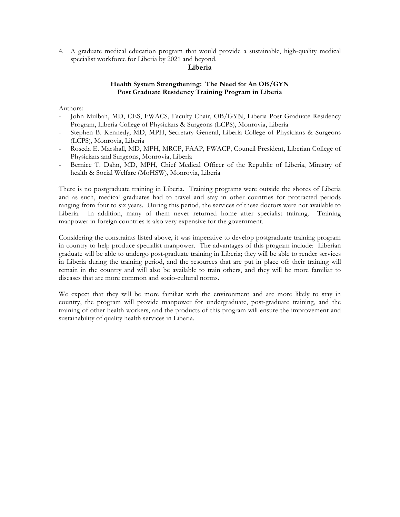4. A graduate medical education program that would provide a sustainable, high-quality medical specialist workforce for Liberia by 2021 and beyond.

### **Liberia**

## **Health System Strengthening: The Need for An OB/GYN Post Graduate Residency Training Program in Liberia**

Authors:

- John Mulbah, MD, CES, FWACS, Faculty Chair, OB/GYN, Liberia Post Graduate Residency Program, Liberia College of Physicians & Surgeons (LCPS), Monrovia, Liberia
- Stephen B. Kennedy, MD, MPH, Secretary General, Liberia College of Physicians & Surgeons (LCPS), Monrovia, Liberia
- Roseda E. Marshall, MD, MPH, MRCP, FAAP, FWACP, Council President, Liberian College of Physicians and Surgeons, Monrovia, Liberia
- Bernice T. Dahn, MD, MPH, Chief Medical Officer of the Republic of Liberia, Ministry of health & Social Welfare (MoHSW), Monrovia, Liberia

There is no postgraduate training in Liberia. Training programs were outside the shores of Liberia and as such, medical graduates had to travel and stay in other countries for protracted periods ranging from four to six years. During this period, the services of these doctors were not available to Liberia. In addition, many of them never returned home after specialist training. Training manpower in foreign countries is also very expensive for the government.

Considering the constraints listed above, it was imperative to develop postgraduate training program in country to help produce specialist manpower. The advantages of this program include: Liberian graduate will be able to undergo post-graduate training in Liberia; they will be able to render services in Liberia during the training period, and the resources that are put in place ofr their training will remain in the country and will also be available to train others, and they will be more familiar to diseases that are more common and socio-cultural norms.

We expect that they will be more familiar with the environment and are more likely to stay in country, the program will provide manpower for undergraduate, post-graduate training, and the training of other health workers, and the products of this program will ensure the improvement and sustainability of quality health services in Liberia.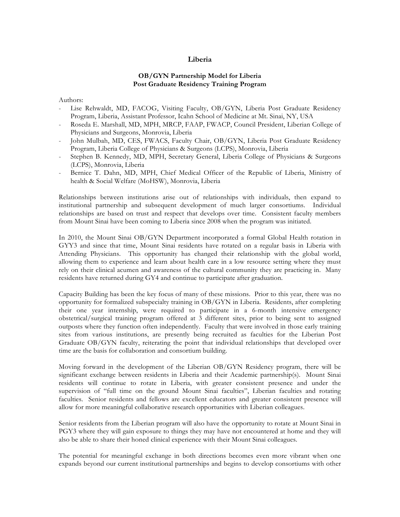## **Liberia**

### **OB/GYN Partnership Model for Liberia Post Graduate Residency Training Program**

Authors:

- Lise Rehwaldt, MD, FACOG, Visiting Faculty, OB/GYN, Liberia Post Graduate Residency Program, Liberia, Assistant Professor, Icahn School of Medicine at Mt. Sinai, NY, USA
- Roseda E. Marshall, MD, MPH, MRCP, FAAP, FWACP, Council President, Liberian College of Physicians and Surgeons, Monrovia, Liberia
- John Mulbah, MD, CES, FWACS, Faculty Chair, OB/GYN, Liberia Post Graduate Residency Program, Liberia College of Physicians & Surgeons (LCPS), Monrovia, Liberia
- Stephen B. Kennedy, MD, MPH, Secretary General, Liberia College of Physicians & Surgeons (LCPS), Monrovia, Liberia
- Bernice T. Dahn, MD, MPH, Chief Medical Officer of the Republic of Liberia, Ministry of health & Social Welfare (MoHSW), Monrovia, Liberia

Relationships between institutions arise out of relationships with individuals, then expand to institutional partnership and subsequent development of much larger consortiums. Individual relationships are based on trust and respect that develops over time. Consistent faculty members from Mount Sinai have been coming to Liberia since 2008 when the program was initiated.

In 2010, the Mount Sinai OB/GYN Department incorporated a formal Global Health rotation in GYY3 and since that time, Mount Sinai residents have rotated on a regular basis in Liberia with Attending Physicians. This opportunity has changed their relationship with the global world, allowing them to experience and learn about health care in a low resource setting where they must rely on their clinical acumen and awareness of the cultural community they are practicing in. Many residents have returned during GY4 and continue to participate after graduation.

Capacity Building has been the key focus of many of these missions. Prior to this year, there was no opportunity for formalized subspecialty training in OB/GYN in Liberia. Residents, after completing their one year internship, were required to participate in a 6-month intensive emergency obstetrical/surgical training program offered at 3 different sites, prior to being sent to assigned outposts where they function often independently. Faculty that were involved in those early training sites from various institutions, are presently being recruited as faculties for the Liberian Post Graduate OB/GYN faculty, reiterating the point that individual relationships that developed over time are the basis for collaboration and consortium building.

Moving forward in the development of the Liberian OB/GYN Residency program, there will be significant exchange between residents in Liberia and their Academic partnership(s). Mount Sinai residents will continue to rotate in Liberia, with greater consistent presence and under the supervision of "full time on the ground Mount Sinai faculties", Liberian faculties and rotating faculties. Senior residents and fellows are excellent educators and greater consistent presence will allow for more meaningful collaborative research opportunities with Liberian colleagues.

Senior residents from the Liberian program will also have the opportunity to rotate at Mount Sinai in PGY3 where they will gain exposure to things they may have not encountered at home and they will also be able to share their honed clinical experience with their Mount Sinai colleagues.

The potential for meaningful exchange in both directions becomes even more vibrant when one expands beyond our current institutional partnerships and begins to develop consortiums with other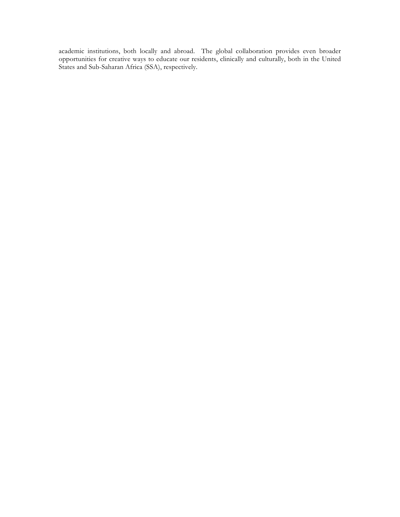academic institutions, both locally and abroad. The global collaboration provides even broader opportunities for creative ways to educate our residents, clinically and culturally, both in the United States and Sub-Saharan Africa (SSA), respectively.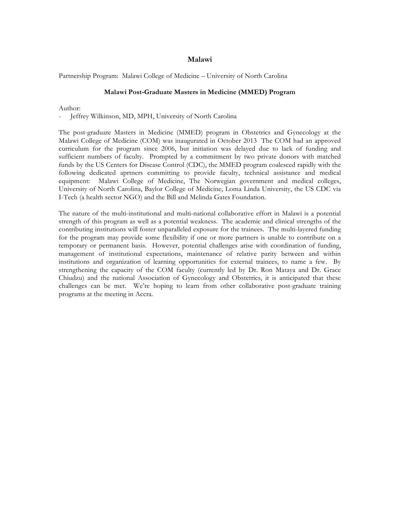### **Malawi**

Partnership Program: Malawi College of Medicine – University of North Carolina

#### **Malawi Post-Graduate Masters in Medicine (MMED) Program**

Author:

Jeffrey Wilkinson, MD, MPH, University of North Carolina

The post-graduate Masters in Medicine (MMED) program in Obstetrics and Gynecology at the Malawi College of Medicine (COM) was inaugurated in October 2013 The COM had an approved curriculum for the program since 2006, but initiation was delayed due to lack of funding and sufficient numbers of faculty. Prompted by a commitment by two private donors with matched funds by the US Centers for Disease Control (CDC), the MMED program coalesced rapidly with the following dedicated aprtners committing to provide faculty, technical assistance and medical equipment: Malawi College of Medicine, The Norwegian government and medical colleges, University of North Carolina, Baylor College of Medicine, Loma Linda University, the US CDC via I-Tech (a health sector NGO) and the Bill and Melinda Gates Foundation.

The nature of the multi-institutional and multi-national collaborative effort in Malawi is a potential strength of this program as well as a potential weakness. The academic and clinical strengths of the contributing institutions will foster unparalleled exposure for the trainees. The multi-layered funding for the program may provide some flexibility if one or more partners is unable to contribute on a temporary or permanent basis. However, potential challenges arise with coordination of funding, management of institutional expectations, maintenance of relative parity between and within institutions and organization of learning opportunities for external trainees, to name a few. By strengthening the capacity of the COM faculty (currently led by Dr. Ron Mataya and Dr. Grace Chiudzu) and the national Association of Gynecology and Obstetrics, it is anticipated that these challenges can be met. We're hoping to learn from other collaborative post-graduate training programs at the meeting in Accra.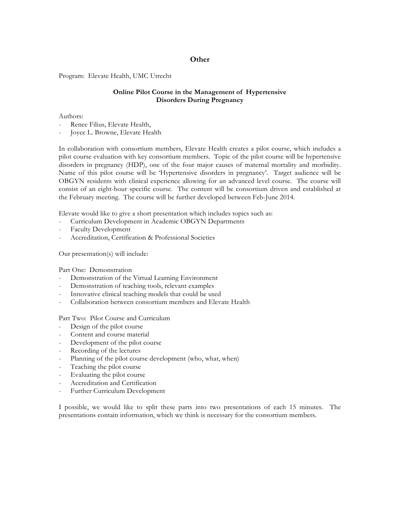## **Other**

Program: Elevate Health, UMC Utrecht

### **Online Pilot Course in the Management of Hypertensive Disorders During Pregnancy**

#### Authors:

- Renee Filius, Elevate Health,
- Joyce L. Browne, Elevate Health

In collaboration with consortium members, Elevate Health creates a pilot course, which includes a pilot course evaluation with key consortium members. Topic of the pilot course will be hypertensive disorders in pregnancy (HDP), one of the four major causes of maternal mortality and morbidity. Name of this pilot course will be 'Hypertensive disorders in pregnancy'. Target audience will be OBGYN residents with clinical experience allowing for an advanced level course. The course will consist of an eight-hour specific course. The content will be consortium driven and established at the February meeting. The course will be further developed between Feb-June 2014.

Elevate would like to give a short presentation which includes topics such as:

- Curriculum Development in Academic OBGYN Departments
- Faculty Development
- Accreditation, Certification & Professional Societies

Our presentation(s) will include:

### Part One: Demonstration

- Demonstration of the Virtual Learning Environment
- Demonstration of teaching tools, relevant examples
- Innovative clinical teaching models that could be used
- Collaboration between consortium members and Elevate Health

Part Two: Pilot Course and Curriculum

- Design of the pilot course
- Content and course material
- Development of the pilot course
- Recording of the lectures
- Planning of the pilot course development (who, what, when)
- Teaching the pilot course
- Evaluating the pilot course
- Accreditation and Certification
- Further Curriculum Development

I possible, we would like to split these parts into two presentations of each 15 minutes. The presentations contain information, which we think is necessary for the consortium members.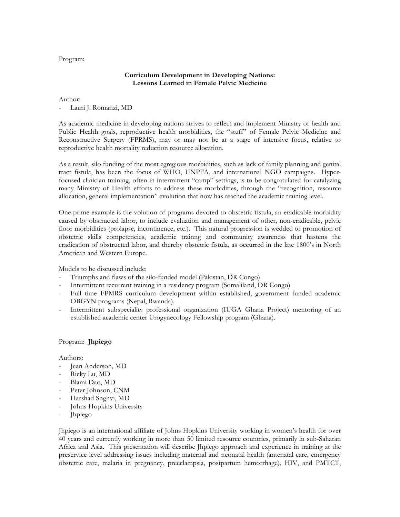### Program:

### **Curriculum Development in Developing Nations: Lessons Learned in Female Pelvic Medicine**

Author:

- Lauri J. Romanzi, MD

As academic medicine in developing nations strives to reflect and implement Ministry of health and Public Health goals, reproductive health morbidities, the "stuff" of Female Pelvic Medicine and Reconstructive Surgery (FPRMS), may or may not be at a stage of intensive focus, relative to reproductive health mortality reduction resource allocation.

As a result, silo funding of the most egregious morbidities, such as lack of family planning and genital tract fistula, has been the focus of WHO, UNPFA, and international NGO campaigns. Hyperfocused clinician training, often in intermittent "camp" settings, is to be congratulated for catalyzing many Ministry of Health efforts to address these morbidities, through the "recognition, resource allocation, general implementation" evolution that now has reached the academic training level.

One prime example is the volution of programs devoted to obstetric fistula, an eradicable morbidity caused by obstructed labor, to include evaluation and management of other, non-eradicable, pelvic floor morbidities (prolapse, incontinence, etc.). This natural progression is wedded to promotion of obstetric skills competencies, academic trainng and community awareness that hastens the eradication of obstructed labor, and thereby obstetric fistula, as occurred in the late 1800's in North American and Western Europe.

Models to be discussed include:

- Triumphs and flaws of the silo-funded model (Pakistan, DR Congo)
- Intermittent recurrent training in a residency program (Somaliland, DR Congo)
- Full time FPMRS curriculum development within established, government funded academic OBGYN programs (Nepal, Rwanda).
- Intermittent subspeciality professional organization (IUGA Ghana Project) mentoring of an established academic center Urogynecology Fellowship program (Ghana).

### Program: **Jhpiego**

Authors:

- Jean Anderson, MD
- Ricky Lu, MD
- Blami Dao, MD
- Peter Johnson, CNM
- Harshad Snghvi, MD
- Johns Hopkins University
- Jhpiego

Jhpiego is an international affiliate of Johns Hopkins University working in women's health for over 40 years and currently working in more than 50 limited resource countries, primarily in sub-Saharan Africa and Asia. This presentation will describe Jhpiego approach and experience in training at the preservice level addressing issues including maternal and neonatal health (antenatal care, emergency obstetric care, malaria in pregnancy, preeclampsia, postpartum hemorrhage), HIV, and PMTCT,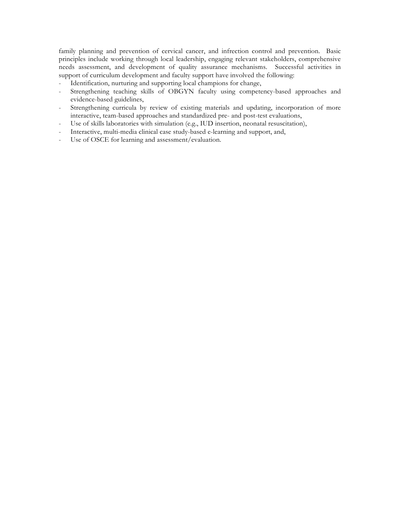family planning and prevention of cervical cancer, and infrection control and prevention. Basic principles include working through local leadership, engaging relevant stakeholders, comprehensive needs assessment, and development of quality assurance mechanisms. Successful activities in support of curriculum development and faculty support have involved the following:

- Identification, nurturing and supporting local champions for change,
- Strengthening teaching skills of OBGYN faculty using competency-based approaches and evidence-based guidelines,
- Strengthening curricula by review of existing materials and updating, incorporation of more interactive, team-based approaches and standardized pre- and post-test evaluations,
- Use of skills laboratories with simulation (e.g., IUD insertion, neonatal resuscitation),
- Interactive, multi-media clinical case study-based e-learning and support, and,
- Use of OSCE for learning and assessment/evaluation.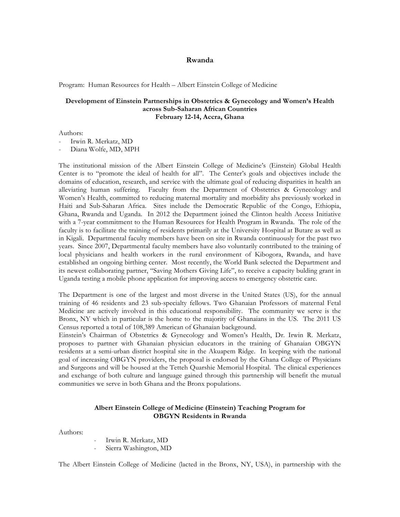#### **Rwanda**

Program: Human Resources for Health – Albert Einstein College of Medicine

### **Development of Einstein Partnerships in Obstetrics & Gynecology and Women's Health across Sub-Saharan African Countries February 12-14, Accra, Ghana**

Authors:

- Irwin R. Merkatz, MD

Diana Wolfe, MD, MPH

The institutional mission of the Albert Einstein College of Medicine's (Einstein) Global Health Center is to "promote the ideal of health for all". The Center's goals and objectives include the domains of education, research, and service with the ultimate goal of reducing disparities in health an alleviating human suffering. Faculty from the Department of Obstetrics & Gynecology and Women's Health, committed to reducing maternal mortality and morbidity ahs previously worked in Haiti and Sub-Saharan Africa. Sites include the Democratic Republic of the Congo, Ethiopia, Ghana, Rwanda and Uganda. In 2012 the Department joined the Clinton health Access Initiative with a 7-year commitment to the Human Resources for Health Program in Rwanda. The role of the faculty is to facilitate the training of residents primarily at the University Hospital at Butare as well as in Kigali. Departmental faculty members have been on site in Rwanda continuously for the past two years. Since 2007, Departmental faculty members have also voluntarily contributed to the training of local physicians and health workers in the rural environment of Kibogora, Rwanda, and have established an ongoing birthing center. Most recently, the World Bank selected the Department and its newest collaborating partner, "Saving Mothers Giving Life", to receive a capacity bulding grant in Uganda testing a mobile phone application for improving access to emergency obstetric care.

The Department is one of the largest and most diverse in the United States (US), for the annual training of 46 residents and 23 sub-specialty fellows. Two Ghanaian Professors of maternal Fetal Medicine are actively involved in this educational responsibility. The community we serve is the Bronx, NY which in particular is the home to the majority of Ghanaians in the US. The 2011 US Census reported a total of 108,389 American of Ghanaian background.

Einstein's Chairman of Obstetrics & Gynecology and Women's Health, Dr. Irwin R. Merkatz, proposes to partner with Ghanaian physician educators in the training of Ghanaian OBGYN residents at a semi-urban district hospital site in the Akuapem Ridge. In keeping with the national goal of increasing OBGYN providers, the proposal is endorsed by the Ghana College of Physicians and Surgeons and will be housed at the Tetteh Quarshie Memorial Hospital. The clinical experiences and exchange of both culture and language gained through this partnership will benefit the mutual communities we serve in both Ghana and the Bronx populations.

#### **Albert Einstein College of Medicine (Einstein) Teaching Program for OBGYN Residents in Rwanda**

Authors:

- Irwin R. Merkatz, MD
- Sierra Washington, MD

The Albert Einstein College of Medicine (lacted in the Bronx, NY, USA), in partnership with the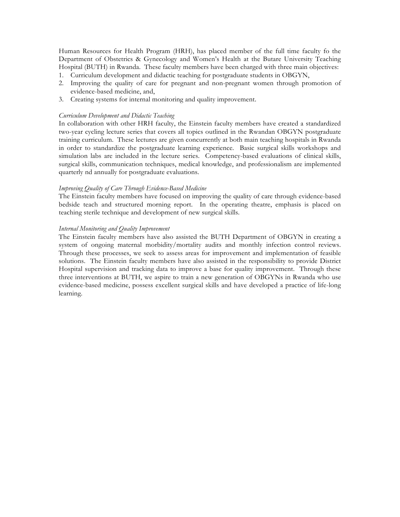Human Resources for Health Program (HRH), has placed member of the full time faculty fo the Department of Obstetrics & Gynecology and Women's Health at the Butare University Teaching Hospital (BUTH) in Rwanda. These faculty members have been charged with three main objectives:

- 1. Curriculum development and didactic teaching for postgraduate students in OBGYN,
- 2. Improving the quality of care for pregnant and non-pregnant women through promotion of evidence-based medicine, and,
- 3. Creating systems for internal monitoring and quality improvement.

### *Curriculum Development and Didactic Teaching*

In collaboration with other HRH faculty, the Einstein faculty members have created a standardized two-year cycling lecture series that covers all topics outlined in the Rwandan OBGYN postgraduate training curriculum. These lectures are given concurrently at both main teaching hospitals in Rwanda in order to standardize the postgraduate learning experience. Basic surgical skills workshops and simulation labs are included in the lecture series. Competency-based evaluations of clinical skills, surgical skills, communication techniques, medical knowledge, and professionalism are implemented quarterly nd annually for postgraduate evaluations.

### *Improving Quality of Care Through Evidence-Based Medicine*

The Einstein faculty members have focused on improving the quality of care through evidence-based bedside teach and structured morning report. In the operating theatre, emphasis is placed on teaching sterile technique and development of new surgical skills.

### *Internal Monitoring and Quality Improvement*

The Einstein faculty members have also assisted the BUTH Department of OBGYN in creating a system of ongoing maternal morbidity/mortality audits and monthly infection control reviews. Through these processes, we seek to assess areas for improvement and implementation of feasible solutions. The Einstein faculty members have also assisted in the responsibility to provide District Hospital supervision and tracking data to improve a base for quality improvement. Through these three interventions at BUTH, we aspire to train a new generation of OBGYNs in Rwanda who use evidence-based medicine, possess excellent surgical skills and have developed a practice of life-long learning.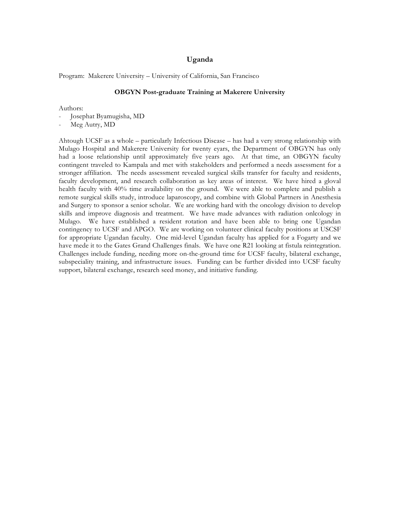## **Uganda**

Program: Makerere University – University of California, San Francisco

#### **OBGYN Post-graduate Training at Makerere University**

Authors:

- Josephat Byamugisha, MD
- Meg Autry, MD

Ahtough UCSF as a whole – particularly Infectious Disease – has had a very strong relationship with Mulago Hospital and Makerere University for twenty eyars, the Department of OBGYN has only had a loose relationship until approximately five years ago. At that time, an OBGYN faculty contingent traveled to Kampala and met with stakeholders and performed a needs assessment for a stronger affiliation. The needs assessment revealed surgical skills transfer for faculty and residents, faculty development, and research collaboration as key areas of interest. We have hired a gloval health faculty with 40% time availability on the ground. We were able to complete and publish a remote surgical skills study, introduce laparoscopy, and combine with Global Partners in Anesthesia and Surgery to sponsor a senior scholar. We are working hard with the oncology division to develop skills and improve diagnosis and treatment. We have made advances with radiation onlcology in Mulago. We have established a resident rotation and have been able to bring one Ugandan contingency to UCSF and APGO. We are working on volunteer clinical faculty positions at USCSF for appropriate Ugandan faculty. One mid-level Ugandan faculty has applied for a Fogarty and we have mede it to the Gates Grand Challenges finals. We have one R21 looking at fistula reintegration. Challenges include funding, needing more on-the-ground time for UCSF faculty, bilateral exchange, subspeciality training, and infrastructure issues. Funding can be further divided into UCSF faculty support, bilateral exchange, research seed money, and initiative funding.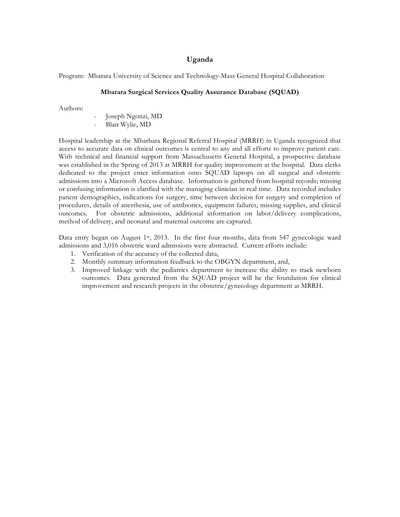# **Uganda**

Program: Mbarara University of Science and Technology-Mass General Hospital Collaboration

## **Mbarara Surgical Services Quality Assurance Database (SQUAD)**

Authors:

- Joseph Ngonzi, MD
- Blair Wylie, MD

Hospital leadership at the Mbarbara Regional Referral Hospital (MRRH) in Uganda recognized that access to accurate data on clinical outcomes is central to any and all efforts to improve patient care. With technical and financial support from Massachusetts General Hospital, a prospective database was established in the Spring of 2013 at MRRH for quality improvement at the hospital. Data clerks dedicated to the project enter information onto SQUAD laptops on all surgical and obstetric admissions into a Microsoft Access database. Information is gathered from hospital records; missing or confusing information is clarified with the managing clinician in real time. Data recorded includes patient demographics, indications for surgery, time between decision for surgery and completion of procedures, details of anesthesia, use of antibiotics, equipment failures, missing supplies, and clinical outcomes. For obstetric admissions, additional information on labor/delivery complications, method of delivery, and neonatal and maternal outcome are captured.

Data entry began on August 1<sup>st</sup>, 2013. In the first four months, data from 547 gynecologic ward admissions and 3,016 obstetric ward admissions were abstracted. Current efforts include:

- 1. Verification of the accuracy of the collected data,
- 2. Monthly summary information feedback to the OBGYN department, and,
- 3. Improved linkage with the pediatrics department to increase the ability to track newborn outcomes. Data generated from the SQUAD project will be the foundation for clinical improvement and research projects in the obstetric/gynecology department at MRRH.